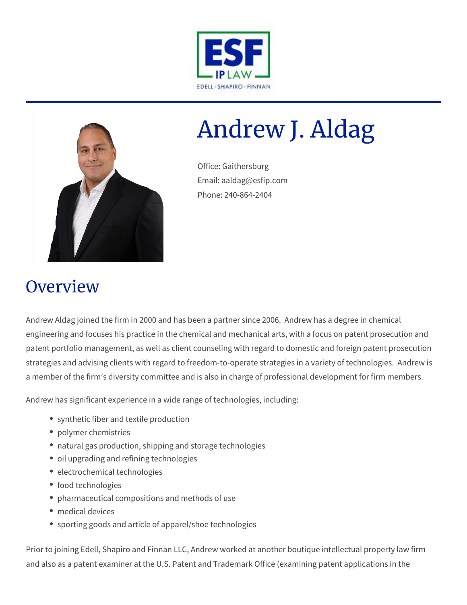



# Andrew J. Aldag

Office: Gaithersburg Email: aaldag@esfip.com Phone: 240-864-2404

## **Overview**

Andrew Aldag joined the firm in 2000 and has been a partner since 2006. Andrew has a degree in chemical engineering and focuses his practice in the chemical and mechanical arts, with a focus on patent prosecution and patent portfolio management, as well as client counseling with regard to domestic and foreign patent prosecution strategies and advising clients with regard to freedom-to-operate strategies in a variety of technologies. Andrew is a member of the firm's diversity committee and is also in charge of professional development for firm members.

Andrew has significant experience in a wide range of technologies, including:

- synthetic fiber and textile production
- polymer chemistries
- natural gas production, shipping and storage technologies
- oil upgrading and refining technologies
- electrochemical technologies
- food technologies
- pharmaceutical compositions and methods of use
- medical devices
- sporting goods and article of apparel/shoe technologies

Prior to joining Edell, Shapiro and Finnan LLC, Andrew worked at another boutique intellectual property law firm and also as a patent examiner at the U.S. Patent and Trademark Office (examining patent applications in the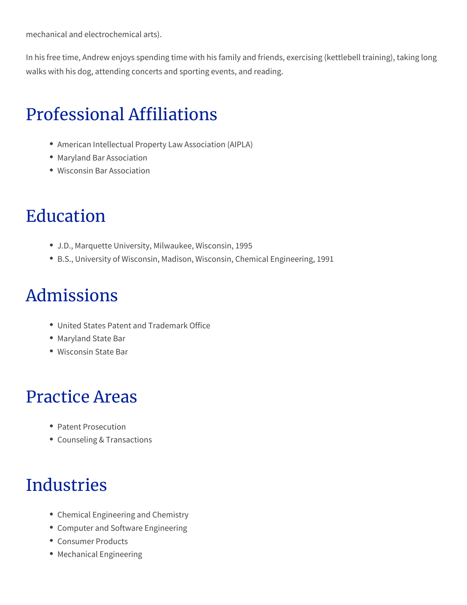mechanical and electrochemical arts).

In his free time, Andrew enjoys spending time with his family and friends, exercising (kettlebell training), taking long walks with his dog, attending concerts and sporting events, and reading.

# Professional Affiliations

- American Intellectual Property Law Association (AIPLA)
- Maryland Bar Association
- Wisconsin Bar Association

# Education

- J.D., Marquette University, Milwaukee, Wisconsin, 1995
- B.S., University of Wisconsin, Madison, Wisconsin, Chemical Engineering, 1991

## Admissions

- United States Patent and Trademark Office
- Maryland State Bar
- Wisconsin State Bar

#### Practice Areas

- Patent Prosecution
- Counseling & Transactions

## Industries

- Chemical Engineering and Chemistry
- Computer and Software Engineering
- Consumer Products
- Mechanical Engineering